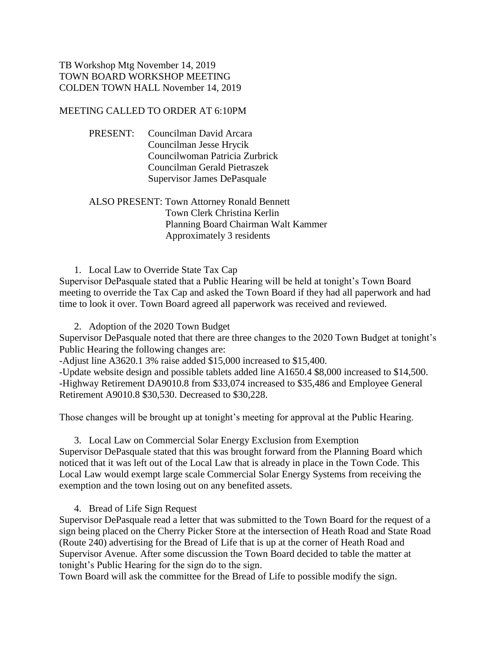## TB Workshop Mtg November 14, 2019 TOWN BOARD WORKSHOP MEETING COLDEN TOWN HALL November 14, 2019

# MEETING CALLED TO ORDER AT 6:10PM

PRESENT: Councilman David Arcara Councilman Jesse Hrycik Councilwoman Patricia Zurbrick Councilman Gerald Pietraszek Supervisor James DePasquale

# ALSO PRESENT: Town Attorney Ronald Bennett Town Clerk Christina Kerlin Planning Board Chairman Walt Kammer Approximately 3 residents

#### 1. Local Law to Override State Tax Cap

Supervisor DePasquale stated that a Public Hearing will be held at tonight's Town Board meeting to override the Tax Cap and asked the Town Board if they had all paperwork and had time to look it over. Town Board agreed all paperwork was received and reviewed.

2. Adoption of the 2020 Town Budget

Supervisor DePasquale noted that there are three changes to the 2020 Town Budget at tonight's Public Hearing the following changes are:

-Adjust line A3620.1 3% raise added \$15,000 increased to \$15,400.

-Update website design and possible tablets added line A1650.4 \$8,000 increased to \$14,500. -Highway Retirement DA9010.8 from \$33,074 increased to \$35,486 and Employee General Retirement A9010.8 \$30,530. Decreased to \$30,228.

Those changes will be brought up at tonight's meeting for approval at the Public Hearing.

3. Local Law on Commercial Solar Energy Exclusion from Exemption Supervisor DePasquale stated that this was brought forward from the Planning Board which noticed that it was left out of the Local Law that is already in place in the Town Code. This Local Law would exempt large scale Commercial Solar Energy Systems from receiving the exemption and the town losing out on any benefited assets.

4. Bread of Life Sign Request

Supervisor DePasquale read a letter that was submitted to the Town Board for the request of a sign being placed on the Cherry Picker Store at the intersection of Heath Road and State Road (Route 240) advertising for the Bread of Life that is up at the corner of Heath Road and Supervisor Avenue. After some discussion the Town Board decided to table the matter at tonight's Public Hearing for the sign do to the sign.

Town Board will ask the committee for the Bread of Life to possible modify the sign.